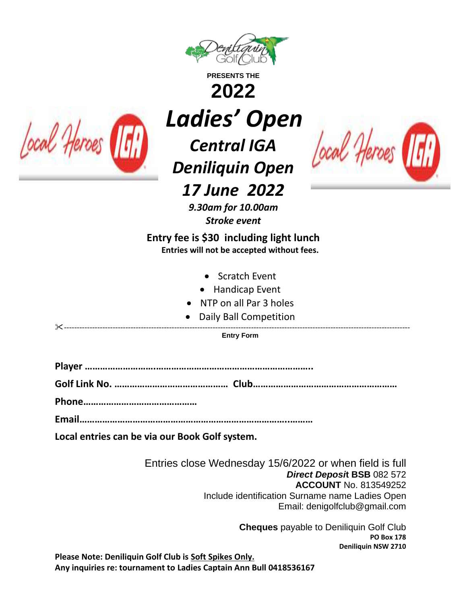

**PRESENTS THE**

**2022**



*Ladies' Open*

*Central IGA Deniliquin Open*



*17 June 2022*

*9.30am for 10.00am Stroke event*

**Entry fee is \$30 including light lunch Entries will not be accepted without fees.**

- Scratch Event
- Handicap Event
- NTP on all Par 3 holes
- Daily Ball Competition

---------------------------------------------------------------------------------------------------------------------------------------

**Entry Form**

**Player ……………………….……………………………………………………..**

**Golf Link No. ……………………………………… Club…………………………………………………**

**Phone………………………………………**

**Email………………………………………………………………………..………**

**Local entries can be via our Book Golf system.** 

Entries close Wednesday 15/6/2022 or when field is full *Direct Deposi***t BSB** 082 572 **ACCOUNT** No. 813549252 Include identification Surname name Ladies Open Email: denigolfclub@gmail.com

> **Cheques** payable to Deniliquin Golf Club **PO Box 178 Deniliquin NSW 2710**

**Please Note: Deniliquin Golf Club is Soft Spikes Only. Any inquiries re: tournament to Ladies Captain Ann Bull 0418536167**